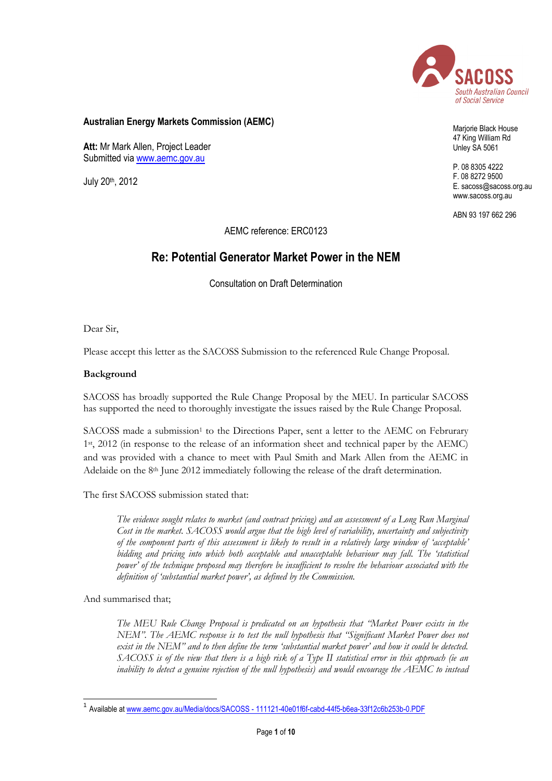

## **Australian Energy Markets Commission (AEMC)**

**Att:** Mr Mark Allen, Project Leader Submitted via [www.aemc.gov.au](http://www.aemc.gov.au/)

July 20<sup>th</sup>, 2012

Marjorie Black House 47 King William Rd Unley SA 5061

P. 08 8305 4222 F. 08 8272 9500 E. sacoss@sacoss.org.au www.sacoss.org.au

ABN 93 197 662 296

AEMC reference: ERC0123

# **Re: Potential Generator Market Power in the NEM**

Consultation on Draft Determination

Dear Sir,

Please accept this letter as the SACOSS Submission to the referenced Rule Change Proposal.

#### **Background**

SACOSS has broadly supported the Rule Change Proposal by the MEU. In particular SACOSS has supported the need to thoroughly investigate the issues raised by the Rule Change Proposal.

SACOSS made a submission<sup>1</sup> to the Directions Paper, sent a letter to the AEMC on Februrary 1st, 2012 (in response to the release of an information sheet and technical paper by the AEMC) and was provided with a chance to meet with Paul Smith and Mark Allen from the AEMC in Adelaide on the 8<sup>th</sup> June 2012 immediately following the release of the draft determination.

The first SACOSS submission stated that:

*The evidence sought relates to market (and contract pricing) and an assessment of a Long Run Marginal Cost in the market. SACOSS would argue that the high level of variability, uncertainty and subjectivity of the component parts of this assessment is likely to result in a relatively large window of "acceptable" bidding and pricing into which both acceptable and unacceptable behaviour may fall. The "statistical power" of the technique proposed may therefore be insufficient to resolve the behaviour associated with the definition of "substantial market power", as defined by the Commission.*

And summarised that;

*The MEU Rule Change Proposal is predicated on an hypothesis that "Market Power exists in the NEM". The AEMC response is to test the null hypothesis that "Significant Market Power does not exist in the NEM" and to then define the term "substantial market power" and how it could be detected. SACOSS is of the view that there is a high risk of a Type II statistical error in this approach (ie an inability to detect a genuine rejection of the null hypothesis) and would encourage the AEMC to instead* 

 1 Available at www.aemc.gov.au/Media/docs/SACOSS - [111121-40e01f6f-cabd-44f5-b6ea-33f12c6b253b-0.PDF](http://www.aemc.gov.au/Media/docs/SACOSS%20-%20111121-40e01f6f-cabd-44f5-b6ea-33f12c6b253b-0.PDF)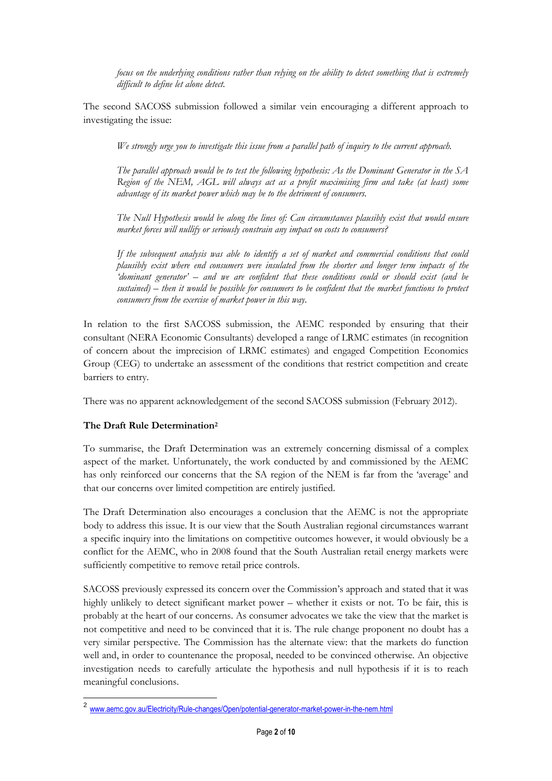*focus on the underlying conditions rather than relying on the ability to detect something that is extremely difficult to define let alone detect.*

The second SACOSS submission followed a similar vein encouraging a different approach to investigating the issue:

*We strongly urge you to investigate this issue from a parallel path of inquiry to the current approach.*

*The parallel approach would be to test the following hypothesis: As the Dominant Generator in the SA Region of the NEM, AGL will always act as a profit maximising firm and take (at least) some advantage of its market power which may be to the detriment of consumers.*

*The Null Hypothesis would be along the lines of: Can circumstances plausibly exist that would ensure market forces will nullify or seriously constrain any impact on costs to consumers?*

*If the subsequent analysis was able to identify a set of market and commercial conditions that could plausibly exist where end consumers were insulated from the shorter and longer term impacts of the "dominant generator" – and we are confident that these conditions could or should exist (and be sustained) – then it would be possible for consumers to be confident that the market functions to protect consumers from the exercise of market power in this way.*

In relation to the first SACOSS submission, the AEMC responded by ensuring that their consultant (NERA Economic Consultants) developed a range of LRMC estimates (in recognition of concern about the imprecision of LRMC estimates) and engaged Competition Economics Group (CEG) to undertake an assessment of the conditions that restrict competition and create barriers to entry.

There was no apparent acknowledgement of the second SACOSS submission (February 2012).

# **The Draft Rule Determination<sup>2</sup>**

-

To summarise, the Draft Determination was an extremely concerning dismissal of a complex aspect of the market. Unfortunately, the work conducted by and commissioned by the AEMC has only reinforced our concerns that the SA region of the NEM is far from the 'average' and that our concerns over limited competition are entirely justified.

The Draft Determination also encourages a conclusion that the AEMC is not the appropriate body to address this issue. It is our view that the South Australian regional circumstances warrant a specific inquiry into the limitations on competitive outcomes however, it would obviously be a conflict for the AEMC, who in 2008 found that the South Australian retail energy markets were sufficiently competitive to remove retail price controls.

SACOSS previously expressed its concern over the Commission's approach and stated that it was highly unlikely to detect significant market power – whether it exists or not. To be fair, this is probably at the heart of our concerns. As consumer advocates we take the view that the market is not competitive and need to be convinced that it is. The rule change proponent no doubt has a very similar perspective. The Commission has the alternate view: that the markets do function well and, in order to countenance the proposal, needed to be convinced otherwise. An objective investigation needs to carefully articulate the hypothesis and null hypothesis if it is to reach meaningful conclusions.

<sup>2</sup> [www.aemc.gov.au/Electricity/Rule-changes/Open/potential-generator-market-power-in-the-nem.html](http://www.aemc.gov.au/Electricity/Rule-changes/Open/potential-generator-market-power-in-the-nem.html)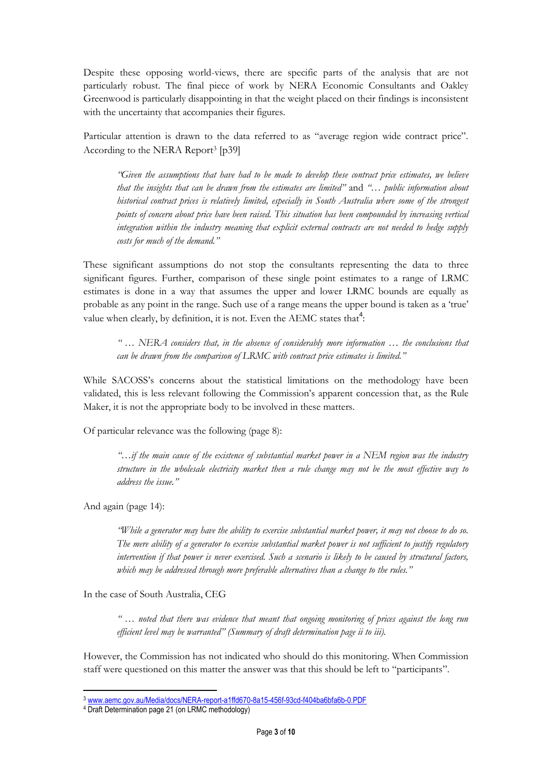Despite these opposing world-views, there are specific parts of the analysis that are not particularly robust. The final piece of work by NERA Economic Consultants and Oakley Greenwood is particularly disappointing in that the weight placed on their findings is inconsistent with the uncertainty that accompanies their figures.

Particular attention is drawn to the data referred to as "average region wide contract price". According to the NERA Report<sup>3</sup> [p39]

*"Given the assumptions that have had to be made to develop these contract price estimates, we believe that the insights that can be drawn from the estimates are limited"* and *"… public information about historical contract prices is relatively limited, especially in South Australia where some of the strongest points of concern about price have been raised. This situation has been compounded by increasing vertical integration within the industry meaning that explicit external contracts are not needed to hedge supply costs for much of the demand."*

These significant assumptions do not stop the consultants representing the data to three significant figures. Further, comparison of these single point estimates to a range of LRMC estimates is done in a way that assumes the upper and lower LRMC bounds are equally as probable as any point in the range. Such use of a range means the upper bound is taken as a "true" value when clearly, by definition, it is not. Even the AEMC states that<sup>4</sup>:

*" … NERA considers that, in the absence of considerably more information … the conclusions that can be drawn from the comparison of LRMC with contract price estimates is limited."*

While SACOSS's concerns about the statistical limitations on the methodology have been validated, this is less relevant following the Commission"s apparent concession that, as the Rule Maker, it is not the appropriate body to be involved in these matters.

Of particular relevance was the following (page 8):

*"…if the main cause of the existence of substantial market power in a NEM region was the industry structure in the wholesale electricity market then a rule change may not be the most effective way to address the issue."*

And again (page 14):

 $\overline{a}$ 

*"While a generator may have the ability to exercise substantial market power, it may not choose to do so. The mere ability of a generator to exercise substantial market power is not sufficient to justify regulatory intervention if that power is never exercised. Such a scenario is likely to be caused by structural factors, which may be addressed through more preferable alternatives than a change to the rules."*

In the case of South Australia, CEG

*" … noted that there was evidence that meant that ongoing monitoring of prices against the long run efficient level may be warranted" (Summary of draft determination page ii to iii).*

However, the Commission has not indicated who should do this monitoring. When Commission staff were questioned on this matter the answer was that this should be left to "participants".

<sup>3</sup> [www.aemc.gov.au/Media/docs/NERA-report-a1ffd670-8a15-456f-93cd-f404ba6bfa6b-0.PDF](http://www.aemc.gov.au/Media/docs/NERA-report-a1ffd670-8a15-456f-93cd-f404ba6bfa6b-0.PDF)

<sup>4</sup> Draft Determination page 21 (on LRMC methodology)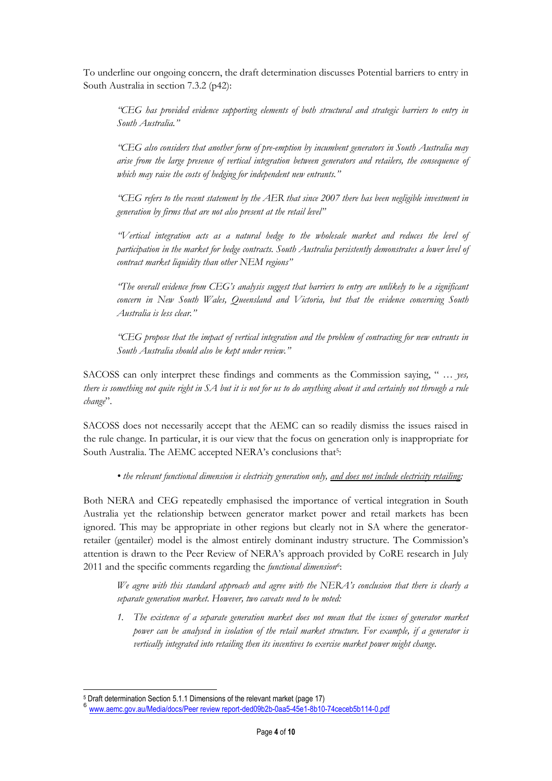To underline our ongoing concern, the draft determination discusses Potential barriers to entry in South Australia in section 7.3.2 (p42):

*"CEG has provided evidence supporting elements of both structural and strategic barriers to entry in South Australia."*

*"CEG also considers that another form of pre-emption by incumbent generators in South Australia may arise from the large presence of vertical integration between generators and retailers, the consequence of which may raise the costs of hedging for independent new entrants."*

*"CEG refers to the recent statement by the AER that since 2007 there has been negligible investment in generation by firms that are not also present at the retail level"*

*"Vertical integration acts as a natural hedge to the wholesale market and reduces the level of participation in the market for hedge contracts. South Australia persistently demonstrates a lower level of contract market liquidity than other NEM regions"*

*"The overall evidence from CEG"s analysis suggest that barriers to entry are unlikely to be a significant concern in New South Wales, Queensland and Victoria, but that the evidence concerning South Australia is less clear."*

*"CEG propose that the impact of vertical integration and the problem of contracting for new entrants in South Australia should also be kept under review."*

SACOSS can only interpret these findings and comments as the Commission saying, " *… yes, there is something not quite right in SA but it is not for us to do anything about it and certainly not through a rule change*".

SACOSS does not necessarily accept that the AEMC can so readily dismiss the issues raised in the rule change. In particular, it is our view that the focus on generation only is inappropriate for South Australia. The AEMC accepted NERA's conclusions that<sup>5</sup>:

• the relevant functional dimension is electricity generation only, and does not include electricity retailing;

Both NERA and CEG repeatedly emphasised the importance of vertical integration in South Australia yet the relationship between generator market power and retail markets has been ignored. This may be appropriate in other regions but clearly not in SA where the generatorretailer (gentailer) model is the almost entirely dominant industry structure. The Commission"s attention is drawn to the Peer Review of NERA"s approach provided by CoRE research in July 2011 and the specific comments regarding the *functional dimension<sup>6</sup>* :

*We agree with this standard approach and agree with the NERA"s conclusion that there is clearly a separate generation market. However, two caveats need to be noted:*

*1. The existence of a separate generation market does not mean that the issues of generator market power can be analysed in isolation of the retail market structure. For example, if a generator is vertically integrated into retailing then its incentives to exercise market power might change.*

<sup>-</sup><sup>5</sup> Draft determination Section 5.1.1 Dimensions of the relevant market (page 17)

<sup>6</sup> [www.aemc.gov.au/Media/docs/Peer review report-ded09b2b-0aa5-45e1-8b10-74ceceb5b114-0.pdf](http://www.aemc.gov.au/Media/docs/Peer%20review%20report-ded09b2b-0aa5-45e1-8b10-74ceceb5b114-0.pdf)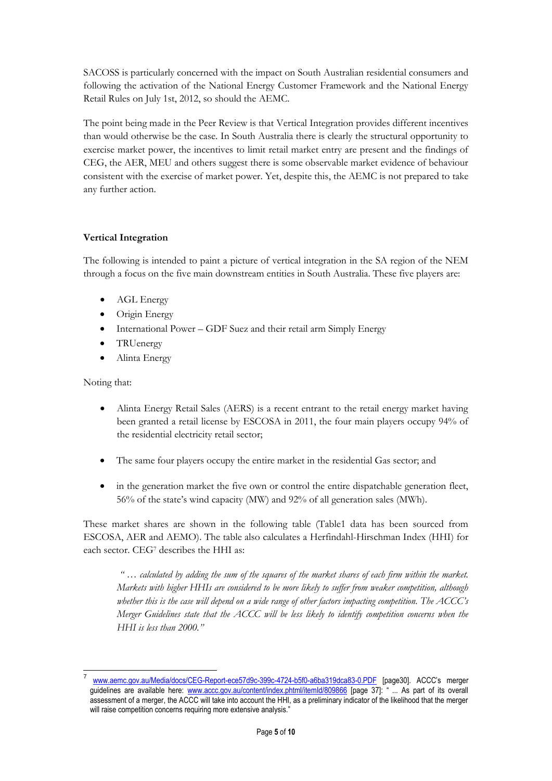SACOSS is particularly concerned with the impact on South Australian residential consumers and following the activation of the National Energy Customer Framework and the National Energy Retail Rules on July 1st, 2012, so should the AEMC.

The point being made in the Peer Review is that Vertical Integration provides different incentives than would otherwise be the case. In South Australia there is clearly the structural opportunity to exercise market power, the incentives to limit retail market entry are present and the findings of CEG, the AER, MEU and others suggest there is some observable market evidence of behaviour consistent with the exercise of market power. Yet, despite this, the AEMC is not prepared to take any further action.

# **Vertical Integration**

The following is intended to paint a picture of vertical integration in the SA region of the NEM through a focus on the five main downstream entities in South Australia. These five players are:

- AGL Energy
- Origin Energy
- International Power GDF Suez and their retail arm Simply Energy
- TRUenergy
- Alinta Energy

Noting that:

-

- Alinta Energy Retail Sales (AERS) is a recent entrant to the retail energy market having been granted a retail license by ESCOSA in 2011, the four main players occupy 94% of the residential electricity retail sector;
- The same four players occupy the entire market in the residential Gas sector; and
- in the generation market the five own or control the entire dispatchable generation fleet, 56% of the state"s wind capacity (MW) and 92% of all generation sales (MWh).

These market shares are shown in the following table (Table1 data has been sourced from ESCOSA, AER and AEMO). The table also calculates a Herfindahl-Hirschman Index (HHI) for each sector. CEG<sup>7</sup> describes the HHI as:

*" … calculated by adding the sum of the squares of the market shares of each firm within the market. Markets with higher HHIs are considered to be more likely to suffer from weaker competition, although whether this is the case will depend on a wide range of other factors impacting competition. The ACCC"s Merger Guidelines state that the ACCC will be less likely to identify competition concerns when the HHI is less than 2000."*

<sup>7</sup> [www.aemc.gov.au/Media/docs/CEG-Report-ece57d9c-399c-4724-b5f0-a6ba319dca83-0.PDF](http://www.aemc.gov.au/Media/docs/CEG-Report-ece57d9c-399c-4724-b5f0-a6ba319dca83-0.PDF) [page30]. ACCC's merger guidelines are available here: [www.accc.gov.au/content/index.phtml/itemId/809866](http://www.accc.gov.au/content/index.phtml/itemId/809866) [page 37]: " ... As part of its overall assessment of a merger, the ACCC will take into account the HHI, as a preliminary indicator of the likelihood that the merger will raise competition concerns requiring more extensive analysis."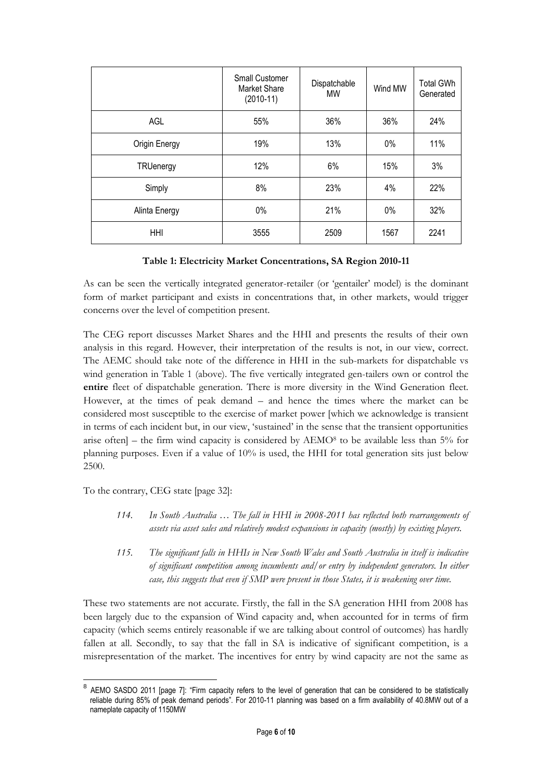|               | <b>Small Customer</b><br>Market Share<br>$(2010-11)$ | Dispatchable<br><b>MW</b> | Wind MW | <b>Total GWh</b><br>Generated |
|---------------|------------------------------------------------------|---------------------------|---------|-------------------------------|
| AGL           | 55%                                                  | 36%                       | 36%     | 24%                           |
| Origin Energy | 19%                                                  | 13%                       | 0%      | 11%                           |
| TRUenergy     | 12%                                                  | 6%                        | 15%     | 3%                            |
| Simply        | 8%                                                   | 23%                       | 4%      | 22%                           |
| Alinta Energy | $0\%$                                                | 21%                       | 0%      | 32%                           |
| <b>HHI</b>    | 3555                                                 | 2509                      | 1567    | 2241                          |

#### **Table 1: Electricity Market Concentrations, SA Region 2010-11**

As can be seen the vertically integrated generator-retailer (or "gentailer" model) is the dominant form of market participant and exists in concentrations that, in other markets, would trigger concerns over the level of competition present.

The CEG report discusses Market Shares and the HHI and presents the results of their own analysis in this regard. However, their interpretation of the results is not, in our view, correct. The AEMC should take note of the difference in HHI in the sub-markets for dispatchable vs wind generation in Table 1 (above). The five vertically integrated gen-tailers own or control the **entire** fleet of dispatchable generation. There is more diversity in the Wind Generation fleet. However, at the times of peak demand – and hence the times where the market can be considered most susceptible to the exercise of market power [which we acknowledge is transient in terms of each incident but, in our view, "sustained" in the sense that the transient opportunities arise often] – the firm wind capacity is considered by  $AEMO<sup>8</sup>$  to be available less than 5% for planning purposes. Even if a value of 10% is used, the HHI for total generation sits just below 2500.

To the contrary, CEG state [page 32]:

-

- *114. In South Australia … The fall in HHI in 2008-2011 has reflected both rearrangements of assets via asset sales and relatively modest expansions in capacity (mostly) by existing players.*
- *115. The significant falls in HHIs in New South Wales and South Australia in itself is indicative of significant competition among incumbents and/or entry by independent generators. In either case, this suggests that even if SMP were present in those States, it is weakening over time.*

These two statements are not accurate. Firstly, the fall in the SA generation HHI from 2008 has been largely due to the expansion of Wind capacity and, when accounted for in terms of firm capacity (which seems entirely reasonable if we are talking about control of outcomes) has hardly fallen at all. Secondly, to say that the fall in SA is indicative of significant competition, is a misrepresentation of the market. The incentives for entry by wind capacity are not the same as

<sup>&</sup>lt;sup>8</sup> AEMO SASDO 2011 [page 7]: "Firm capacity refers to the level of generation that can be considered to be statistically reliable during 85% of peak demand periods". For 2010-11 planning was based on a firm availability of 40.8MW out of a nameplate capacity of 1150MW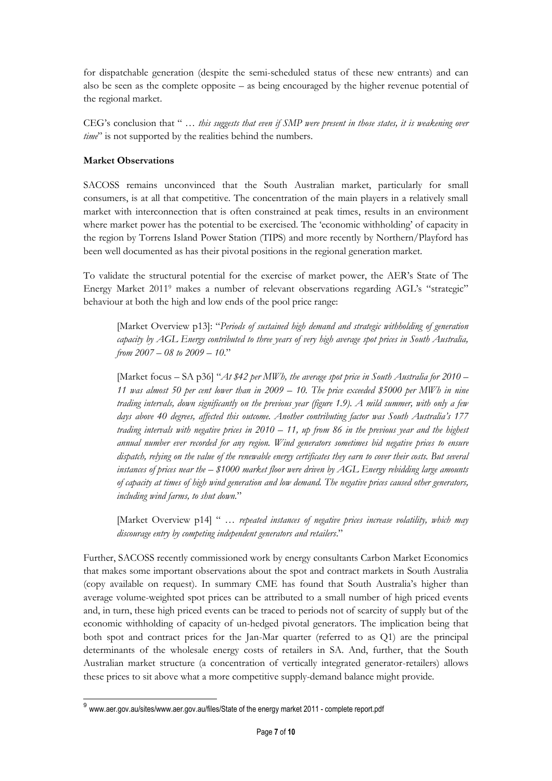for dispatchable generation (despite the semi-scheduled status of these new entrants) and can also be seen as the complete opposite – as being encouraged by the higher revenue potential of the regional market.

CEG"s conclusion that " … *this suggests that even if SMP were present in those states, it is weakening over time*" is not supported by the realities behind the numbers.

## **Market Observations**

SACOSS remains unconvinced that the South Australian market, particularly for small consumers, is at all that competitive. The concentration of the main players in a relatively small market with interconnection that is often constrained at peak times, results in an environment where market power has the potential to be exercised. The "economic withholding" of capacity in the region by Torrens Island Power Station (TIPS) and more recently by Northern/Playford has been well documented as has their pivotal positions in the regional generation market.

To validate the structural potential for the exercise of market power, the AER"s State of The Energy Market 2011<sup>9</sup> makes a number of relevant observations regarding AGL's "strategic" behaviour at both the high and low ends of the pool price range:

[Market Overview p13]: "*Periods of sustained high demand and strategic withholding of generation capacity by AGL Energy contributed to three years of very high average spot prices in South Australia, from 2007 – 08 to 2009 – 10*."

[Market focus – SA p36] "*At \$42 per MWh, the average spot price in South Australia for 2010 – 11 was almost 50 per cent lower than in 2009 – 10. The price exceeded \$5000 per MWh in nine trading intervals, down significantly on the previous year (figure 1.9). A mild summer, with only a few days above 40 degrees, affected this outcome. Another contributing factor was South Australia"s 177 trading intervals with negative prices in 2010 – 11, up from 86 in the previous year and the highest annual number ever recorded for any region. Wind generators sometimes bid negative prices to ensure dispatch, relying on the value of the renewable energy certificates they earn to cover their costs. But several instances of prices near the – \$1000 market floor were driven by AGL Energy rebidding large amounts of capacity at times of high wind generation and low demand. The negative prices caused other generators, including wind farms, to shut down.*"

[Market Overview p14] " *… repeated instances of negative prices increase volatility, which may discourage entry by competing independent generators and retailers*."

Further, SACOSS recently commissioned work by energy consultants Carbon Market Economics that makes some important observations about the spot and contract markets in South Australia (copy available on request). In summary CME has found that South Australia"s higher than average volume-weighted spot prices can be attributed to a small number of high priced events and, in turn, these high priced events can be traced to periods not of scarcity of supply but of the economic withholding of capacity of un-hedged pivotal generators. The implication being that both spot and contract prices for the Jan-Mar quarter (referred to as Q1) are the principal determinants of the wholesale energy costs of retailers in SA. And, further, that the South Australian market structure (a concentration of vertically integrated generator-retailers) allows these prices to sit above what a more competitive supply-demand balance might provide.

 9 www.aer.gov.au/sites/www.aer.gov.au/files/State of the energy market 2011 - complete report.pdf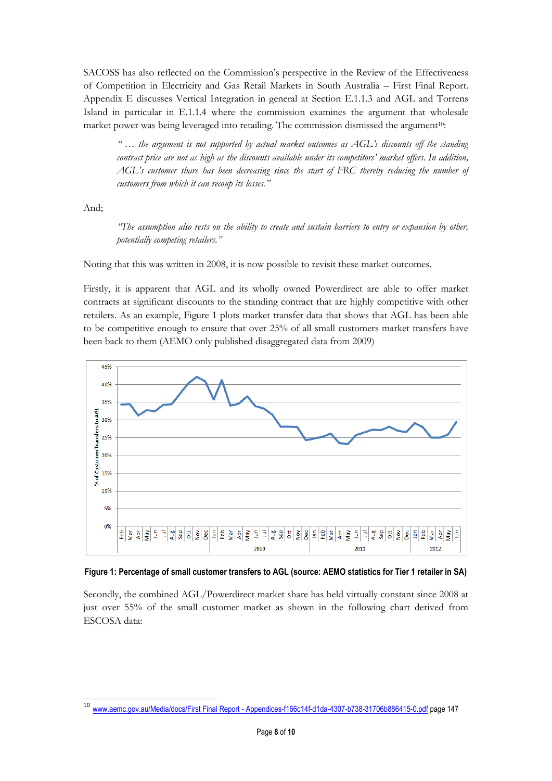SACOSS has also reflected on the Commission"s perspective in the Review of the Effectiveness of Competition in Electricity and Gas Retail Markets in South Australia – First Final Report. Appendix E discusses Vertical Integration in general at Section E.1.1.3 and AGL and Torrens Island in particular in E.1.1.4 where the commission examines the argument that wholesale market power was being leveraged into retailing. The commission dismissed the argument<sup>10</sup>:

*" … the argument is not supported by actual market outcomes as AGL"s discounts off the standing contract price are not as high as the discounts available under its competitors" market offers. In addition, AGL"s customer share has been decreasing since the start of FRC thereby reducing the number of customers from which it can recoup its losses."*

And;

*"The assumption also rests on the ability to create and sustain barriers to entry or expansion by other, potentially competing retailers."*

Noting that this was written in 2008, it is now possible to revisit these market outcomes.

Firstly, it is apparent that AGL and its wholly owned Powerdirect are able to offer market contracts at significant discounts to the standing contract that are highly competitive with other retailers. As an example, Figure 1 plots market transfer data that shows that AGL has been able to be competitive enough to ensure that over 25% of all small customers market transfers have been back to them (AEMO only published disaggregated data from 2009)



#### **Figure 1: Percentage of small customer transfers to AGL (source: AEMO statistics for Tier 1 retailer in SA)**

Secondly, the combined AGL/Powerdirect market share has held virtually constant since 2008 at just over 55% of the small customer market as shown in the following chart derived from ESCOSA data:

<sup>-</sup>www.aemc.gov.au/Media/docs/First Final Report - [Appendices-f166c14f-d1da-4307-b738-31706b886415-0.pdf](http://www.aemc.gov.au/Media/docs/First%20Final%20Report%20-%20Appendices-f166c14f-d1da-4307-b738-31706b886415-0.pdf) page 147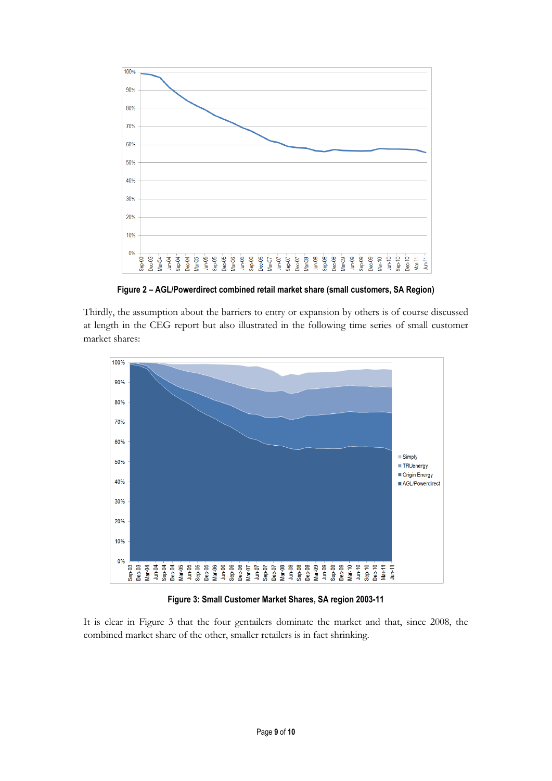

**Figure 2 – AGL/Powerdirect combined retail market share (small customers, SA Region)**

Thirdly, the assumption about the barriers to entry or expansion by others is of course discussed at length in the CEG report but also illustrated in the following time series of small customer market shares:



**Figure 3: Small Customer Market Shares, SA region 2003-11**

It is clear in Figure 3 that the four gentailers dominate the market and that, since 2008, the combined market share of the other, smaller retailers is in fact shrinking.